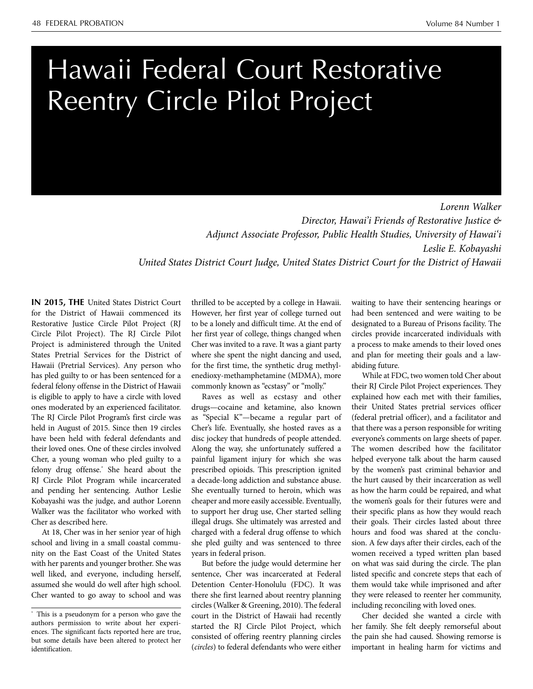# Hawaii Federal Court Restorative Reentry Circle Pilot Project

*Lorenn Walker Director, Hawai'i Friends of Restorative Justice & Adjunct Associate Professor, Public Health Studies, University of Hawai'i Leslie E. Kobayashi United States District Court Judge, United States District Court for the District of Hawaii* 

 felony drug offense.\* She heard about the **IN 2015, THE** United States District Court for the District of Hawaii commenced its Restorative Justice Circle Pilot Project (RJ Circle Pilot Project). The RJ Circle Pilot Project is administered through the United States Pretrial Services for the District of Hawaii (Pretrial Services). Any person who has pled guilty to or has been sentenced for a federal felony offense in the District of Hawaii is eligible to apply to have a circle with loved ones moderated by an experienced facilitator. The RJ Circle Pilot Program's first circle was held in August of 2015. Since then 19 circles have been held with federal defendants and their loved ones. One of these circles involved Cher, a young woman who pled guilty to a RJ Circle Pilot Program while incarcerated and pending her sentencing. Author Leslie Kobayashi was the judge, and author Lorenn Walker was the facilitator who worked with Cher as described here.

At 18, Cher was in her senior year of high school and living in a small coastal community on the East Coast of the United States with her parents and younger brother. She was well liked, and everyone, including herself, assumed she would do well after high school. Cher wanted to go away to school and was thrilled to be accepted by a college in Hawaii. However, her first year of college turned out to be a lonely and difficult time. At the end of her first year of college, things changed when Cher was invited to a rave. It was a giant party where she spent the night dancing and used, for the first time, the synthetic drug methylenedioxy-methamphetamine (MDMA), more commonly known as "ecstasy" or "molly."

Raves as well as ecstasy and other drugs—cocaine and ketamine, also known as "Special K"—became a regular part of Cher's life. Eventually, she hosted raves as a disc jockey that hundreds of people attended. Along the way, she unfortunately suffered a painful ligament injury for which she was prescribed opioids. This prescription ignited a decade-long addiction and substance abuse. She eventually turned to heroin, which was cheaper and more easily accessible. Eventually, to support her drug use, Cher started selling illegal drugs. She ultimately was arrested and charged with a federal drug offense to which she pled guilty and was sentenced to three years in federal prison.

But before the judge would determine her sentence, Cher was incarcerated at Federal Detention Center-Honolulu (FDC). It was there she first learned about reentry planning circles (Walker & Greening, 2010). The federal court in the District of Hawaii had recently started the RJ Circle Pilot Project, which consisted of offering reentry planning circles (*circles*) to federal defendants who were either

waiting to have their sentencing hearings or had been sentenced and were waiting to be designated to a Bureau of Prisons facility. The circles provide incarcerated individuals with a process to make amends to their loved ones and plan for meeting their goals and a lawabiding future.

While at FDC, two women told Cher about their RJ Circle Pilot Project experiences. They explained how each met with their families, their United States pretrial services officer (federal pretrial officer), and a facilitator and that there was a person responsible for writing everyone's comments on large sheets of paper. The women described how the facilitator helped everyone talk about the harm caused by the women's past criminal behavior and the hurt caused by their incarceration as well as how the harm could be repaired, and what the women's goals for their futures were and their specific plans as how they would reach their goals. Their circles lasted about three hours and food was shared at the conclusion. A few days after their circles, each of the women received a typed written plan based on what was said during the circle. The plan listed specific and concrete steps that each of them would take while imprisoned and after they were released to reenter her community, including reconciling with loved ones.

Cher decided she wanted a circle with her family. She felt deeply remorseful about the pain she had caused. Showing remorse is important in healing harm for victims and

<sup>\*</sup> This is a pseudonym for a person who gave the authors permission to write about her experiences. The significant facts reported here are true, but some details have been altered to protect her identification.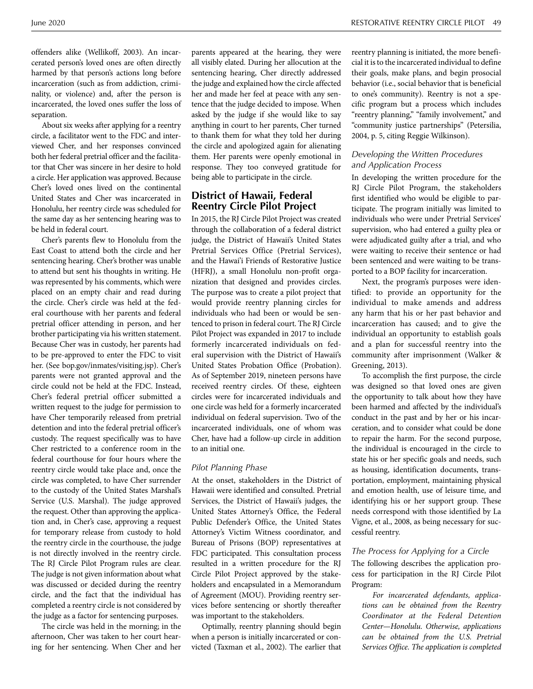offenders alike (Wellikoff, 2003). An incarcerated person's loved ones are often directly harmed by that person's actions long before incarceration (such as from addiction, criminality, or violence) and, after the person is incarcerated, the loved ones suffer the loss of separation.

About six weeks after applying for a reentry circle, a facilitator went to the FDC and interviewed Cher, and her responses convinced both her federal pretrial officer and the facilitator that Cher was sincere in her desire to hold a circle. Her application was approved. Because Cher's loved ones lived on the continental United States and Cher was incarcerated in Honolulu, her reentry circle was scheduled for the same day as her sentencing hearing was to be held in federal court.

Cher's parents flew to Honolulu from the East Coast to attend both the circle and her sentencing hearing. Cher's brother was unable to attend but sent his thoughts in writing. He was represented by his comments, which were placed on an empty chair and read during the circle. Cher's circle was held at the federal courthouse with her parents and federal pretrial officer attending in person, and her brother participating via his written statement. Because Cher was in custody, her parents had to be pre-approved to enter the FDC to visit her. (See bop.gov/inmates/visiting.jsp). Cher's parents were not granted approval and the circle could not be held at the FDC. Instead, Cher's federal pretrial officer submitted a written request to the judge for permission to have Cher temporarily released from pretrial detention and into the federal pretrial officer's custody. The request specifically was to have Cher restricted to a conference room in the federal courthouse for four hours where the reentry circle would take place and, once the circle was completed, to have Cher surrender to the custody of the United States Marshal's Service (U.S. Marshal). The judge approved the request. Other than approving the application and, in Cher's case, approving a request for temporary release from custody to hold the reentry circle in the courthouse, the judge is not directly involved in the reentry circle. The RJ Circle Pilot Program rules are clear. The judge is not given information about what was discussed or decided during the reentry circle, and the fact that the individual has completed a reentry circle is not considered by the judge as a factor for sentencing purposes.

The circle was held in the morning; in the afternoon, Cher was taken to her court hearing for her sentencing. When Cher and her

parents appeared at the hearing, they were all visibly elated. During her allocution at the sentencing hearing, Cher directly addressed the judge and explained how the circle affected her and made her feel at peace with any sentence that the judge decided to impose. When asked by the judge if she would like to say anything in court to her parents, Cher turned to thank them for what they told her during the circle and apologized again for alienating them. Her parents were openly emotional in response. They too conveyed gratitude for being able to participate in the circle.

# **District of Hawaii, Federal Reentry Circle Pilot Project**

In 2015, the RJ Circle Pilot Project was created through the collaboration of a federal district judge, the District of Hawaii's United States Pretrial Services Office (Pretrial Services), and the Hawai'i Friends of Restorative Justice (HFRJ), a small Honolulu non-profit organization that designed and provides circles. The purpose was to create a pilot project that would provide reentry planning circles for individuals who had been or would be sentenced to prison in federal court. The RJ Circle Pilot Project was expanded in 2017 to include formerly incarcerated individuals on federal supervision with the District of Hawaii's United States Probation Office (Probation). As of September 2019, nineteen persons have received reentry circles. Of these, eighteen circles were for incarcerated individuals and one circle was held for a formerly incarcerated individual on federal supervision. Two of the incarcerated individuals, one of whom was Cher, have had a follow-up circle in addition to an initial one.

#### *Pilot Planning Phase*

At the onset, stakeholders in the District of Hawaii were identified and consulted. Pretrial Services, the District of Hawaii's judges, the United States Attorney's Office, the Federal Public Defender's Office, the United States Attorney's Victim Witness coordinator, and Bureau of Prisons (BOP) representatives at FDC participated. This consultation process resulted in a written procedure for the RJ Circle Pilot Project approved by the stakeholders and encapsulated in a Memorandum of Agreement (MOU). Providing reentry services before sentencing or shortly thereafter was important to the stakeholders.

Optimally, reentry planning should begin when a person is initially incarcerated or convicted (Taxman et al., 2002). The earlier that reentry planning is initiated, the more beneficial it is to the incarcerated individual to define their goals, make plans, and begin prosocial behavior (i.e., social behavior that is beneficial to one's community). Reentry is not a specific program but a process which includes "reentry planning," "family involvement," and "community justice partnerships" (Petersilia, 2004, p. 5, citing Reggie Wilkinson).

## *Developing the Written Procedures and Application Process*

In developing the written procedure for the RJ Circle Pilot Program, the stakeholders first identified who would be eligible to participate. The program initially was limited to individuals who were under Pretrial Services' supervision, who had entered a guilty plea or were adjudicated guilty after a trial, and who were waiting to receive their sentence or had been sentenced and were waiting to be transported to a BOP facility for incarceration.

Next, the program's purposes were identified: to provide an opportunity for the individual to make amends and address any harm that his or her past behavior and incarceration has caused; and to give the individual an opportunity to establish goals and a plan for successful reentry into the community after imprisonment (Walker & Greening, 2013).

To accomplish the first purpose, the circle was designed so that loved ones are given the opportunity to talk about how they have been harmed and affected by the individual's conduct in the past and by her or his incarceration, and to consider what could be done to repair the harm. For the second purpose, the individual is encouraged in the circle to state his or her specific goals and needs, such as housing, identification documents, transportation, employment, maintaining physical and emotion health, use of leisure time, and identifying his or her support group. These needs correspond with those identified by La Vigne, et al., 2008, as being necessary for successful reentry.

#### *The Process for Applying for a Circle*

The following describes the application process for participation in the RJ Circle Pilot Program:

*For incarcerated defendants, applications can be obtained from the Reentry Coordinator at the Federal Detention Center—Honolulu. Otherwise, applications can be obtained from the U.S. Pretrial Services Office. The application is completed*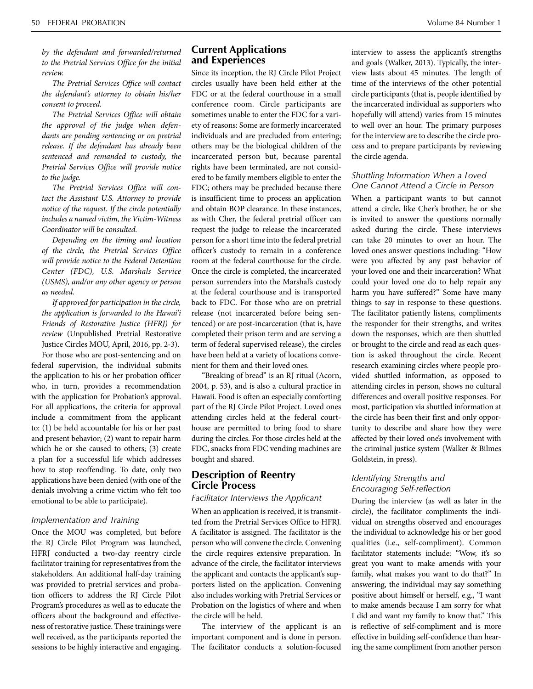*by the defendant and forwarded/returned to the Pretrial Services Office for the initial review.* 

*The Pretrial Services Office will contact the defendant's attorney to obtain his/her consent to proceed.* 

*The Pretrial Services Office will obtain the approval of the judge when defendants are pending sentencing or on pretrial release. If the defendant has already been sentenced and remanded to custody, the Pretrial Services Office will provide notice to the judge.* 

*The Pretrial Services Office will contact the Assistant U.S. Attorney to provide notice of the request. If the circle potentially includes a named victim, the Victim-Witness Coordinator will be consulted.* 

*Depending on the timing and location of the circle, the Pretrial Services Office will provide notice to the Federal Detention Center (FDC), U.S. Marshals Service (USMS), and/or any other agency or person as needed.*

*If approved for participation in the circle, the application is forwarded to the Hawai'i Friends of Restorative Justice (HFRJ) for review* (Unpublished Pretrial Restorative Justice Circles MOU, April, 2016, pp. 2-3).

For those who are post-sentencing and on federal supervision, the individual submits the application to his or her probation officer who, in turn, provides a recommendation with the application for Probation's approval. For all applications, the criteria for approval include a commitment from the applicant to: (1) be held accountable for his or her past and present behavior; (2) want to repair harm which he or she caused to others; (3) create a plan for a successful life which addresses how to stop reoffending. To date, only two applications have been denied (with one of the denials involving a crime victim who felt too emotional to be able to participate).

#### *Implementation and Training*

Once the MOU was completed, but before the RJ Circle Pilot Program was launched, HFRJ conducted a two-day reentry circle facilitator training for representatives from the stakeholders. An additional half-day training was provided to pretrial services and probation officers to address the RJ Circle Pilot Program's procedures as well as to educate the officers about the background and effectiveness of restorative justice. These trainings were well received, as the participants reported the sessions to be highly interactive and engaging.

## **Current Applications and Experiences**

Since its inception, the RJ Circle Pilot Project circles usually have been held either at the FDC or at the federal courthouse in a small conference room. Circle participants are sometimes unable to enter the FDC for a variety of reasons: Some are formerly incarcerated individuals and are precluded from entering; others may be the biological children of the incarcerated person but, because parental rights have been terminated, are not considered to be family members eligible to enter the FDC; others may be precluded because there is insufficient time to process an application and obtain BOP clearance. In these instances, as with Cher, the federal pretrial officer can request the judge to release the incarcerated person for a short time into the federal pretrial officer's custody to remain in a conference room at the federal courthouse for the circle. Once the circle is completed, the incarcerated person surrenders into the Marshal's custody at the federal courthouse and is transported back to FDC. For those who are on pretrial release (not incarcerated before being sentenced) or are post-incarceration (that is, have completed their prison term and are serving a term of federal supervised release), the circles have been held at a variety of locations convenient for them and their loved ones.

"Breaking of bread" is an RJ ritual (Acorn, 2004, p. 53), and is also a cultural practice in Hawaii. Food is often an especially comforting part of the RJ Circle Pilot Project. Loved ones attending circles held at the federal courthouse are permitted to bring food to share during the circles. For those circles held at the FDC, snacks from FDC vending machines are bought and shared.

# **Description of Reentry Circle Process**

#### *Facilitator Interviews the Applicant*

When an application is received, it is transmitted from the Pretrial Services Office to HFRJ. A facilitator is assigned. The facilitator is the person who will convene the circle. Convening the circle requires extensive preparation. In advance of the circle, the facilitator interviews the applicant and contacts the applicant's supporters listed on the application. Convening also includes working with Pretrial Services or Probation on the logistics of where and when the circle will be held.

The interview of the applicant is an important component and is done in person. The facilitator conducts a solution-focused interview to assess the applicant's strengths and goals (Walker, 2013). Typically, the interview lasts about 45 minutes. The length of time of the interviews of the other potential circle participants (that is, people identified by the incarcerated individual as supporters who hopefully will attend) varies from 15 minutes to well over an hour. The primary purposes for the interview are to describe the circle process and to prepare participants by reviewing the circle agenda.

#### *Shuttling Information When a Loved One Cannot Attend a Circle in Person*

When a participant wants to but cannot attend a circle, like Cher's brother, he or she is invited to answer the questions normally asked during the circle. These interviews can take 20 minutes to over an hour. The loved ones answer questions including: "How were you affected by any past behavior of your loved one and their incarceration? What could your loved one do to help repair any harm you have suffered?" Some have many things to say in response to these questions. The facilitator patiently listens, compliments the responder for their strengths, and writes down the responses, which are then shuttled or brought to the circle and read as each question is asked throughout the circle. Recent research examining circles where people provided shuttled information, as opposed to attending circles in person, shows no cultural differences and overall positive responses. For most, participation via shuttled information at the circle has been their first and only opportunity to describe and share how they were affected by their loved one's involvement with the criminal justice system (Walker & Bilmes Goldstein, in press).

## *Identifying Strengths and Encouraging Self-reflection*

During the interview (as well as later in the circle), the facilitator compliments the individual on strengths observed and encourages the individual to acknowledge his or her good qualities (i.e., self-compliment). Common facilitator statements include: "Wow, it's so great you want to make amends with your family, what makes you want to do that?" In answering, the individual may say something positive about himself or herself, e.g., "I want to make amends because I am sorry for what I did and want my family to know that." This is reflective of self-compliment and is more effective in building self-confidence than hearing the same compliment from another person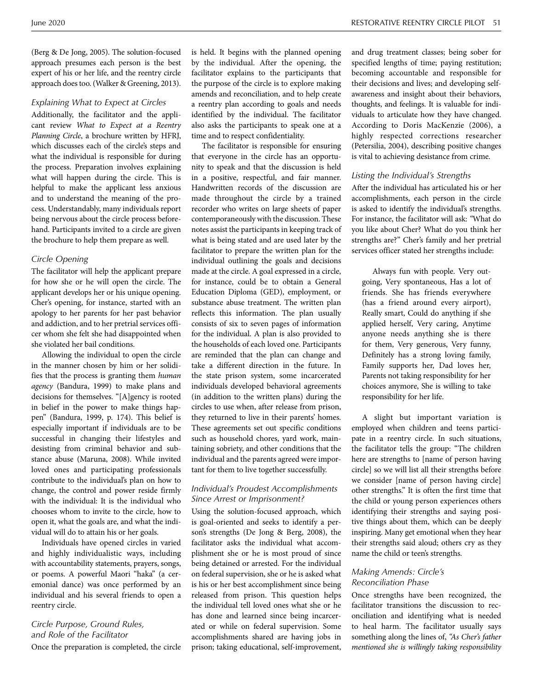(Berg & De Jong, 2005). The solution-focused approach presumes each person is the best expert of his or her life, and the reentry circle approach does too. (Walker & Greening, 2013).

## *Explaining What to Expect at Circles*

Additionally, the facilitator and the applicant review *What to Expect at a Reentry Planning Circle*, a brochure written by HFRJ, which discusses each of the circle's steps and what the individual is responsible for during the process. Preparation involves explaining what will happen during the circle. This is helpful to make the applicant less anxious and to understand the meaning of the process. Understandably, many individuals report being nervous about the circle process beforehand. Participants invited to a circle are given the brochure to help them prepare as well.

#### *Circle Opening*

The facilitator will help the applicant prepare for how she or he will open the circle. The applicant develops her or his unique opening. Cher's opening, for instance, started with an apology to her parents for her past behavior and addiction, and to her pretrial services officer whom she felt she had disappointed when she violated her bail conditions.

Allowing the individual to open the circle in the manner chosen by him or her solidifies that the process is granting them *human agency* (Bandura, 1999) to make plans and decisions for themselves. "[A]gency is rooted in belief in the power to make things happen" (Bandura, 1999, p. 174). This belief is especially important if individuals are to be successful in changing their lifestyles and desisting from criminal behavior and substance abuse (Maruna, 2008). While invited loved ones and participating professionals contribute to the individual's plan on how to change, the control and power reside firmly with the individual: It is the individual who chooses whom to invite to the circle, how to open it, what the goals are, and what the individual will do to attain his or her goals.

Individuals have opened circles in varied and highly individualistic ways, including with accountability statements, prayers, songs, or poems. A powerful Maori "haka" (a ceremonial dance) was once performed by an individual and his several friends to open a reentry circle.

# *Circle Purpose, Ground Rules, and Role of the Facilitator*

Once the preparation is completed, the circle

is held. It begins with the planned opening by the individual. After the opening, the facilitator explains to the participants that the purpose of the circle is to explore making amends and reconciliation, and to help create a reentry plan according to goals and needs identified by the individual. The facilitator also asks the participants to speak one at a time and to respect confidentiality.

The facilitator is responsible for ensuring that everyone in the circle has an opportunity to speak and that the discussion is held in a positive, respectful, and fair manner. Handwritten records of the discussion are made throughout the circle by a trained recorder who writes on large sheets of paper contemporaneously with the discussion. These notes assist the participants in keeping track of what is being stated and are used later by the facilitator to prepare the written plan for the individual outlining the goals and decisions made at the circle. A goal expressed in a circle, for instance, could be to obtain a General Education Diploma (GED), employment, or substance abuse treatment. The written plan reflects this information. The plan usually consists of six to seven pages of information for the individual. A plan is also provided to the households of each loved one. Participants are reminded that the plan can change and take a different direction in the future. In the state prison system, some incarcerated individuals developed behavioral agreements (in addition to the written plans) during the circles to use when, after release from prison, they returned to live in their parents' homes. These agreements set out specific conditions such as household chores, yard work, maintaining sobriety, and other conditions that the individual and the parents agreed were important for them to live together successfully.

## *Individual's Proudest Accomplishments Since Arrest or Imprisonment?*

Using the solution-focused approach, which is goal-oriented and seeks to identify a person's strengths (De Jong & Berg, 2008), the facilitator asks the individual what accomplishment she or he is most proud of since being detained or arrested. For the individual on federal supervision, she or he is asked what is his or her best accomplishment since being released from prison. This question helps the individual tell loved ones what she or he has done and learned since being incarcerated or while on federal supervision. Some accomplishments shared are having jobs in prison; taking educational, self-improvement,

and drug treatment classes; being sober for specified lengths of time; paying restitution; becoming accountable and responsible for their decisions and lives; and developing selfawareness and insight about their behaviors, thoughts, and feelings. It is valuable for individuals to articulate how they have changed. According to Doris MacKenzie (2006), a highly respected corrections researcher (Petersilia, 2004), describing positive changes is vital to achieving desistance from crime.

#### *Listing the Individual's Strengths*

After the individual has articulated his or her accomplishments, each person in the circle is asked to identify the individual's strengths. For instance, the facilitator will ask: *"*What do you like about Cher? What do you think her strengths are?" Cher's family and her pretrial services officer stated her strengths include:

Always fun with people. Very outgoing, Very spontaneous, Has a lot of friends. She has friends everywhere (has a friend around every airport), Really smart, Could do anything if she applied herself, Very caring, Anytime anyone needs anything she is there for them, Very generous, Very funny, Definitely has a strong loving family, Family supports her, Dad loves her, Parents not taking responsibility for her choices anymore, She is willing to take responsibility for her life.

A slight but important variation is employed when children and teens participate in a reentry circle. In such situations, the facilitator tells the group: "The children here are strengths to [name of person having circle] so we will list all their strengths before we consider [name of person having circle] other strengths." It is often the first time that the child or young person experiences others identifying their strengths and saying positive things about them, which can be deeply inspiring. Many get emotional when they hear their strengths said aloud; others cry as they name the child or teen's strengths.

## *Making Amends: Circle's Reconciliation Phase*

Once strengths have been recognized, the facilitator transitions the discussion to reconciliation and identifying what is needed to heal harm. The facilitator usually says something along the lines of, *"As Cher's father mentioned she is willingly taking responsibility*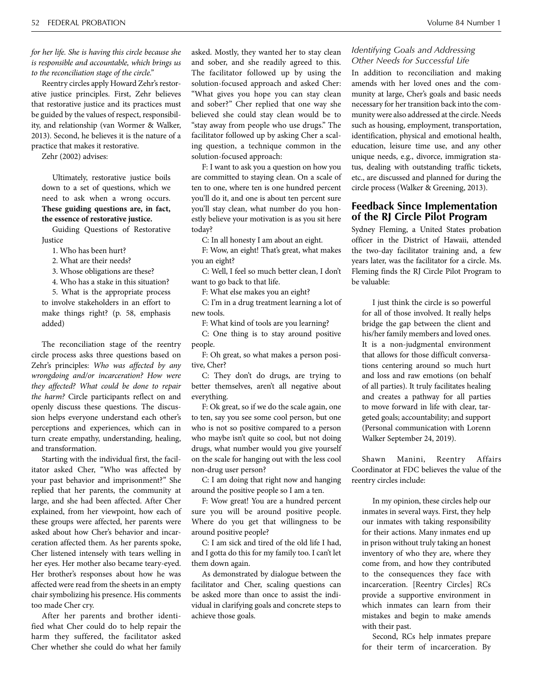*for her life. She is having this circle because she is responsible and accountable, which brings us to the reconciliation stage of the circle."*

Reentry circles apply Howard Zehr's restorative justice principles. First, Zehr believes that restorative justice and its practices must be guided by the values of respect, responsibility, and relationship (van Wormer & Walker, 2013). Second, he believes it is the nature of a practice that makes it restorative.

Zehr (2002) advises:

Ultimately, restorative justice boils down to a set of questions, which we need to ask when a wrong occurs. **These guiding questions are, in fact, the essence of restorative justice.** 

Guiding Questions of Restorative Justice

1. Who has been hurt?

2. What are their needs?

3. Whose obligations are these?

4. Who has a stake in this situation?

5. What is the appropriate process to involve stakeholders in an effort to make things right? (p. 58, emphasis added)

The reconciliation stage of the reentry circle process asks three questions based on Zehr's principles: *Who was affected by any wrongdoing and/or incarceration? How were they affected? What could be done to repair the harm?* Circle participants reflect on and openly discuss these questions. The discussion helps everyone understand each other's perceptions and experiences, which can in turn create empathy, understanding, healing, and transformation.

Starting with the individual first, the facilitator asked Cher, "Who was affected by your past behavior and imprisonment?" She replied that her parents, the community at large, and she had been affected. After Cher explained, from her viewpoint, how each of these groups were affected, her parents were asked about how Cher's behavior and incarceration affected them. As her parents spoke, Cher listened intensely with tears welling in her eyes. Her mother also became teary-eyed. Her brother's responses about how he was affected were read from the sheets in an empty chair symbolizing his presence. His comments too made Cher cry.

After her parents and brother identified what Cher could do to help repair the harm they suffered, the facilitator asked Cher whether she could do what her family asked. Mostly, they wanted her to stay clean and sober, and she readily agreed to this. The facilitator followed up by using the solution-focused approach and asked Cher: "What gives you hope you can stay clean and sober?" Cher replied that one way she believed she could stay clean would be to "stay away from people who use drugs." The facilitator followed up by asking Cher a scaling question, a technique common in the solution-focused approach:

F: I want to ask you a question on how you are committed to staying clean. On a scale of ten to one, where ten is one hundred percent you'll do it, and one is about ten percent sure you'll stay clean, what number do you honestly believe your motivation is as you sit here today?

C: In all honesty I am about an eight.

F: Wow, an eight! That's great, what makes you an eight?

C: Well, I feel so much better clean, I don't want to go back to that life.

F: What else makes you an eight?

C: I'm in a drug treatment learning a lot of new tools.

F: What kind of tools are you learning?

C: One thing is to stay around positive people.

F: Oh great, so what makes a person positive, Cher?

C: They don't do drugs, are trying to better themselves, aren't all negative about everything.

F: Ok great, so if we do the scale again, one to ten, say you see some cool person, but one who is not so positive compared to a person who maybe isn't quite so cool, but not doing drugs, what number would you give yourself on the scale for hanging out with the less cool non-drug user person?

C: I am doing that right now and hanging around the positive people so I am a ten.

F: Wow great! You are a hundred percent sure you will be around positive people. Where do you get that willingness to be around positive people?

C: I am sick and tired of the old life I had, and I gotta do this for my family too. I can't let them down again.

As demonstrated by dialogue between the facilitator and Cher, scaling questions can be asked more than once to assist the individual in clarifying goals and concrete steps to achieve those goals.

## *Identifying Goals and Addressing Other Needs for Successful Life*

In addition to reconciliation and making amends with her loved ones and the community at large, Cher's goals and basic needs necessary for her transition back into the community were also addressed at the circle. Needs such as housing, employment, transportation, identification, physical and emotional health, education, leisure time use, and any other unique needs, e.g., divorce, immigration status, dealing with outstanding traffic tickets, etc., are discussed and planned for during the circle process (Walker & Greening, 2013).

# **Feedback Since Implementation of the RJ Circle Pilot Program**

Sydney Fleming, a United States probation officer in the District of Hawaii, attended the two-day facilitator training and, a few years later, was the facilitator for a circle. Ms. Fleming finds the RJ Circle Pilot Program to be valuable:

I just think the circle is so powerful for all of those involved. It really helps bridge the gap between the client and his/her family members and loved ones. It is a non-judgmental environment that allows for those difficult conversations centering around so much hurt and loss and raw emotions (on behalf of all parties). It truly facilitates healing and creates a pathway for all parties to move forward in life with clear, targeted goals; accountability; and support (Personal communication with Lorenn Walker September 24, 2019).

Shawn Manini, Reentry Affairs Coordinator at FDC believes the value of the reentry circles include:

In my opinion, these circles help our inmates in several ways. First, they help our inmates with taking responsibility for their actions. Many inmates end up in prison without truly taking an honest inventory of who they are, where they come from, and how they contributed to the consequences they face with incarceration. [Reentry Circles] RCs provide a supportive environment in which inmates can learn from their mistakes and begin to make amends with their past.

Second, RCs help inmates prepare for their term of incarceration. By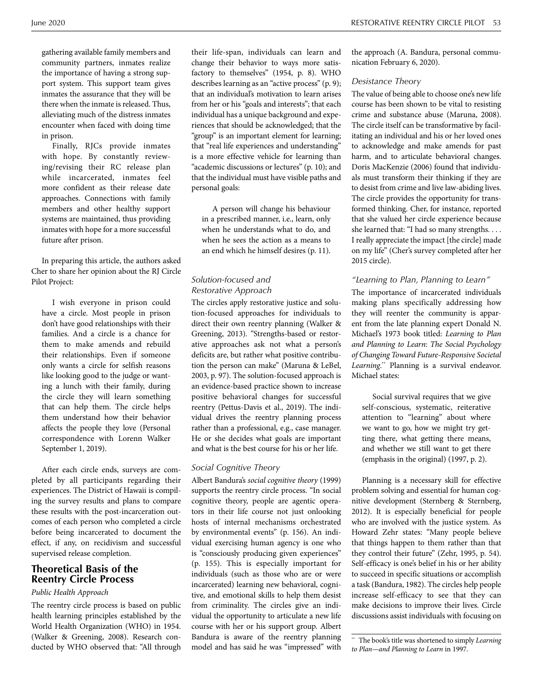RESTORATIVE REENTRY CIRCLE PILOT 53

gathering available family members and community partners, inmates realize the importance of having a strong support system. This support team gives inmates the assurance that they will be there when the inmate is released. Thus, alleviating much of the distress inmates encounter when faced with doing time in prison.

Finally, RJCs provide inmates with hope. By constantly reviewing/revising their RC release plan while incarcerated, inmates feel more confident as their release date approaches. Connections with family members and other healthy support systems are maintained, thus providing inmates with hope for a more successful future after prison.

In preparing this article, the authors asked Cher to share her opinion about the RJ Circle Pilot Project:

I wish everyone in prison could have a circle. Most people in prison don't have good relationships with their families. And a circle is a chance for them to make amends and rebuild their relationships. Even if someone only wants a circle for selfish reasons like looking good to the judge or wanting a lunch with their family, during the circle they will learn something that can help them. The circle helps them understand how their behavior affects the people they love (Personal correspondence with Lorenn Walker September 1, 2019).

After each circle ends, surveys are completed by all participants regarding their experiences. The District of Hawaii is compiling the survey results and plans to compare these results with the post-incarceration outcomes of each person who completed a circle before being incarcerated to document the effect, if any, on recidivism and successful supervised release completion.

# **Theoretical Basis of the Reentry Circle Process**

## *Public Health Approach*

The reentry circle process is based on public health learning principles established by the World Health Organization (WHO) in 1954. (Walker & Greening, 2008). Research conducted by WHO observed that: "All through

their life-span, individuals can learn and change their behavior to ways more satisfactory to themselves" (1954, p. 8). WHO describes learning as an "active process" (p. 9); that an individual's motivation to learn arises from her or his "goals and interests"; that each individual has a unique background and experiences that should be acknowledged; that the "group" is an important element for learning; that "real life experiences and understanding" is a more effective vehicle for learning than "academic discussions or lectures" (p. 10); and that the individual must have visible paths and personal goals:

A person will change his behaviour in a prescribed manner, i.e., learn, only when he understands what to do, and when he sees the action as a means to an end which he himself desires (p. 11).

# *Solution-focused and Restorative Approach*

The circles apply restorative justice and solution-focused approaches for individuals to direct their own reentry planning (Walker & Greening, 2013). "Strengths-based or restorative approaches ask not what a person's deficits are, but rather what positive contribution the person can make" (Maruna & LeBel, 2003, p. 97). The solution-focused approach is an evidence-based practice shown to increase positive behavioral changes for successful reentry (Pettus-Davis et al., 2019). The individual drives the reentry planning process rather than a professional, e.g., case manager. He or she decides what goals are important and what is the best course for his or her life.

## *Social Cognitive Theory*

Albert Bandura's *social cognitive theory* (1999) supports the reentry circle process. "In social cognitive theory, people are agentic operators in their life course not just onlooking hosts of internal mechanisms orchestrated by environmental events" (p. 156). An individual exercising human agency is one who is "consciously producing given experiences" (p. 155). This is especially important for individuals (such as those who are or were incarcerated) learning new behavioral, cognitive, and emotional skills to help them desist from criminality. The circles give an individual the opportunity to articulate a new life course with her or his support group. Albert Bandura is aware of the reentry planning model and has said he was "impressed" with

the approach (A. Bandura, personal communication February 6, 2020).

### *Desistance Theory*

The value of being able to choose one's new life course has been shown to be vital to resisting crime and substance abuse (Maruna, 2008). The circle itself can be transformative by facilitating an individual and his or her loved ones to acknowledge and make amends for past harm, and to articulate behavioral changes. Doris MacKenzie (2006) found that individuals must transform their thinking if they are to desist from crime and live law-abiding lives. The circle provides the opportunity for transformed thinking. Cher, for instance, reported that she valued her circle experience because she learned that: "I had so many strengths. . . . I really appreciate the impact [the circle] made on my life" (Cher's survey completed after her 2015 circle).

## *"Learning to Plan, Planning to Learn"*

The importance of incarcerated individuals making plans specifically addressing how they will reenter the community is apparent from the late planning expert Donald N. Michael's 1973 book titled: *Learning to Plan and Planning to Learn*: *The Social Psychology of Changing Toward Future-Responsive Societal*  Learning.<sup>\*\*</sup> Planning is a survival endeavor. Michael states:

Social survival requires that we give self-conscious, systematic, reiterative attention to "learning" about where we want to go, how we might try getting there, what getting there means, and whether we still want to get there (emphasis in the original) (1997, p. 2).

Planning is a necessary skill for effective problem solving and essential for human cognitive development (Sternberg & Sternberg, 2012). It is especially beneficial for people who are involved with the justice system. As Howard Zehr states: "Many people believe that things happen to them rather than that they control their future" (Zehr, 1995, p. 54). Self-efficacy is one's belief in his or her ability to succeed in specific situations or accomplish a task (Bandura, 1982). The circles help people increase self-efficacy to see that they can make decisions to improve their lives. Circle discussions assist individuals with focusing on

<sup>\*\*</sup> The book's title was shortened to simply *Learning to Plan—and Planning to Learn* in 1997.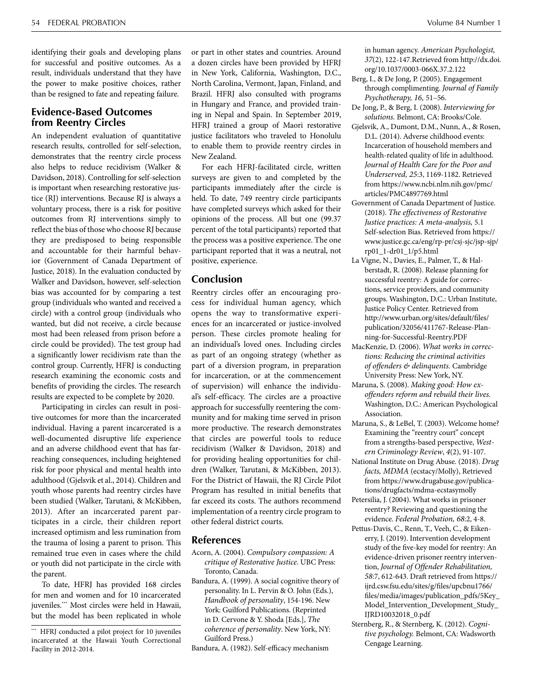identifying their goals and developing plans for successful and positive outcomes. As a result, individuals understand that they have the power to make positive choices, rather than be resigned to fate and repeating failure.

# **Evidence-Based Outcomes from Reentry Circles**

An independent evaluation of quantitative research results, controlled for self-selection, demonstrates that the reentry circle process also helps to reduce recidivism (Walker & Davidson, 2018). Controlling for self-selection is important when researching restorative justice (RJ) interventions. Because RJ is always a voluntary process, there is a risk for positive outcomes from RJ interventions simply to reflect the bias of those who choose RJ because they are predisposed to being responsible and accountable for their harmful behavior (Government of Canada Department of Justice, 2018). In the evaluation conducted by Walker and Davidson, however, self-selection bias was accounted for by comparing a test group (individuals who wanted and received a circle) with a control group (individuals who wanted, but did not receive, a circle because most had been released from prison before a circle could be provided). The test group had a significantly lower recidivism rate than the control group. Currently, HFRJ is conducting research examining the economic costs and benefits of providing the circles. The research results are expected to be complete by 2020.

Participating in circles can result in positive outcomes for more than the incarcerated individual. Having a parent incarcerated is a well-documented disruptive life experience and an adverse childhood event that has farreaching consequences, including heightened risk for poor physical and mental health into adulthood (Gjelsvik et al., 2014). Children and youth whose parents had reentry circles have been studied (Walker, Tarutani, & McKibben, 2013). After an incarcerated parent participates in a circle, their children report increased optimism and less rumination from the trauma of losing a parent to prison. This remained true even in cases where the child or youth did not participate in the circle with the parent.

To date, HFRJ has provided 168 circles for men and women and for 10 incarcerated juveniles.\*\*\* Most circles were held in Hawaii, but the model has been replicated in whole

or part in other states and countries. Around a dozen circles have been provided by HFRJ in New York, California, Washington, D.C., North Carolina, Vermont, Japan, Finland, and Brazil. HFRJ also consulted with programs in Hungary and France, and provided training in Nepal and Spain. In September 2019, HFRJ trained a group of Maori restorative justice facilitators who traveled to Honolulu to enable them to provide reentry circles in New Zealand.

For each HFRJ-facilitated circle, written surveys are given to and completed by the participants immediately after the circle is held. To date, 749 reentry circle participants have completed surveys which asked for their opinions of the process. All but one (99.37 percent of the total participants) reported that the process was a positive experience. The one participant reported that it was a neutral, not positive, experience.

# **Conclusion**

Reentry circles offer an encouraging process for individual human agency, which opens the way to transformative experiences for an incarcerated or justice-involved person. These circles promote healing for an individual's loved ones. Including circles as part of an ongoing strategy (whether as part of a diversion program, in preparation for incarceration, or at the commencement of supervision) will enhance the individual's self-efficacy. The circles are a proactive approach for successfully reentering the community and for making time served in prison more productive. The research demonstrates that circles are powerful tools to reduce recidivism (Walker & Davidson, 2018) and for providing healing opportunities for children (Walker, Tarutani, & McKibben, 2013). For the District of Hawaii, the RJ Circle Pilot Program has resulted in initial benefits that far exceed its costs. The authors recommend implementation of a reentry circle program to other federal district courts.

# **References**

- Acorn, A. (2004). *Compulsory compassion: A critique of Restorative Justice*. UBC Press: Toronto, Canada.
- Bandura, A. (1999). A social cognitive theory of personality. In L. Pervin & O. John (Eds.), *Handbook of personality*, 154-196. New York: Guilford Publications. (Reprinted in D. Cervone & Y. Shoda [Eds.], *The coherence of personality*. New York, NY: Guilford Press.)
- Bandura, A. (1982). Self-efficacy mechanism

in human agency. *American Psychologist, 37*(2), 122-147.Retrieved from http://dx.doi. org/10.1037/0003-066X.37.2.122

- Berg, I., & De Jong, P. (2005). Engagement through complimenting. *Journal of Family Psychotherapy, 16,* 51–56.
- De Jong, P., & Berg, I. (2008). *Interviewing for solutions.* Belmont, CA: Brooks/Cole.
- Gjelsvik, A., Dumont, D.M., Nunn, A., & Rosen, D.L. (2014). Adverse childhood events: Incarceration of household members and health-related quality of life in adulthood. *Journal of Health Care for the Poor and Underserved, 25*:3, 1169-1182. Retrieved from https://www.ncbi.nlm.nih.gov/pmc/ articles/PMC4897769.html
- Government of Canada Department of Justice. (2018). *The effectiveness of Restorative Justice practices: A meta-analysis,* 5.1 Self-selection Bias. Retrieved from https:// www.justice.gc.ca/eng/rp-pr/csj-sjc/jsp-sjp/ rp01\_1-dr01\_1/p5.html
- La Vigne, N., Davies, E., Palmer, T., & Halberstadt, R. (2008). Release planning for successful reentry: A guide for corrections, service providers, and community groups. Washington, D.C.: Urban Institute, Justice Policy Center. Retrieved from http://www.urban.org/sites/default/files/ publication/32056/411767-Release-Planning-for-Successful-Reentry.PDF
- MacKenzie, D. (2006). *What works in corrections: Reducing the criminal activities of offenders & delinquents.* Cambridge University Press: New York, NY.
- Maruna, S. (2008). *Making good: How exoffenders reform and rebuild their lives.*  Washington, D.C.: American Psychological Association.
- Maruna, S., & LeBel, T. (2003). Welcome home? Examining the "reentry court" concept from a strengths-based perspective, *Western Criminology Review*, *4*(2), 91-107.
- National Institute on Drug Abuse. (2018). *Drug facts, MDMA* (ecstacy/Molly), Retrieved from https://www.drugabuse.gov/publications/drugfacts/mdma-ecstasymolly
- Petersilia, J. (2004). What works in prisoner reentry? Reviewing and questioning the evidence. *Federal Probation, 68*:2, 4-8.
- Pettus-Davis, C., Renn, T., Veeh, C., & Eikenerry, J. (2019). Intervention development study of the five-key model for reentry: An evidence-driven prisoner reentry intervention, *Journal of Offender Rehabilitation, 58*:7, 612-643. Draft retrieved from https:// ijrd.csw.fsu.edu/sites/g/files/upcbnu1766/ files/media/images/publication\_pdfs/5Key\_ Model\_Intervention\_Development\_Study\_ IJRD10032018\_0.pdf
- Sternberg, R., & Sternberg, K. (2012). *Cognitive psychology.* Belmont, CA: Wadsworth Cengage Learning.

HFRJ conducted a pilot project for 10 juveniles incarcerated at the Hawaii Youth Correctional Facility in 2012-2014.